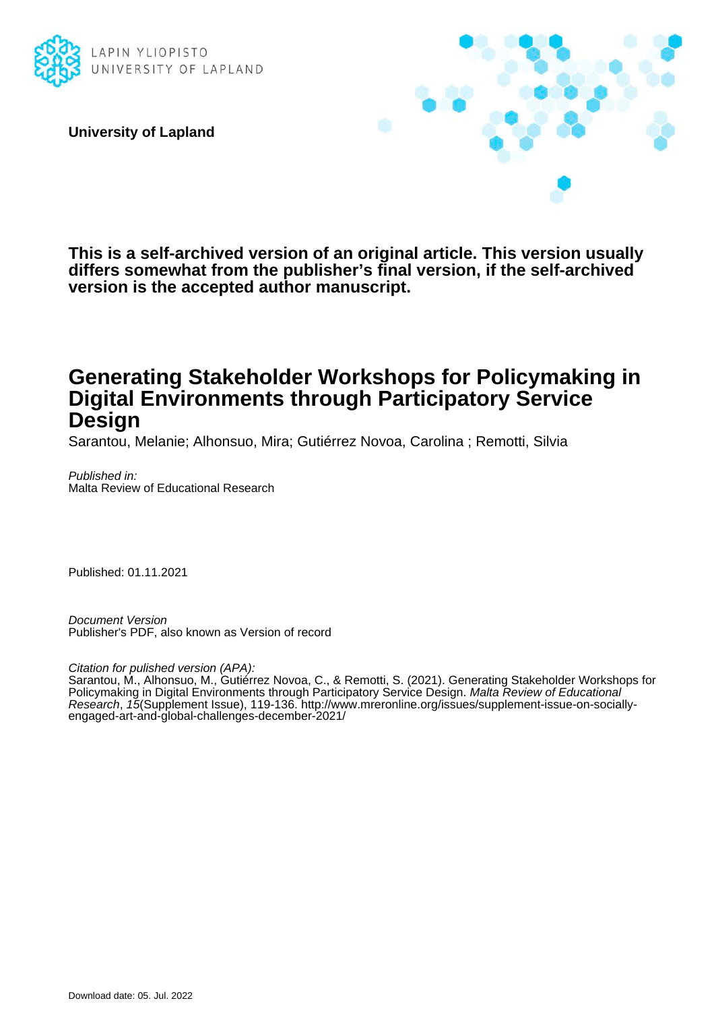

**University of Lapland**



**This is a self-archived version of an original article. This version usually differs somewhat from the publisher's final version, if the self-archived version is the accepted author manuscript.**

# **Generating Stakeholder Workshops for Policymaking in Digital Environments through Participatory Service Design**

Sarantou, Melanie; Alhonsuo, Mira; Gutiérrez Novoa, Carolina ; Remotti, Silvia

Published in: Malta Review of Educational Research

Published: 01.11.2021

Document Version Publisher's PDF, also known as Version of record

Citation for pulished version (APA):

Sarantou, M., Alhonsuo, M., Gutiérrez Novoa, C., & Remotti, S. (2021). Generating Stakeholder Workshops for Policymaking in Digital Environments through Participatory Service Design. *Malta Review of Educational* Research, 15(Supplement Issue), 119-136. [http://www.mreronline.org/issues/supplement-issue-on-socially](http://www.mreronline.org/issues/supplement-issue-on-socially-engaged-art-and-global-challenges-december-2021/)[engaged-art-and-global-challenges-december-2021/](http://www.mreronline.org/issues/supplement-issue-on-socially-engaged-art-and-global-challenges-december-2021/)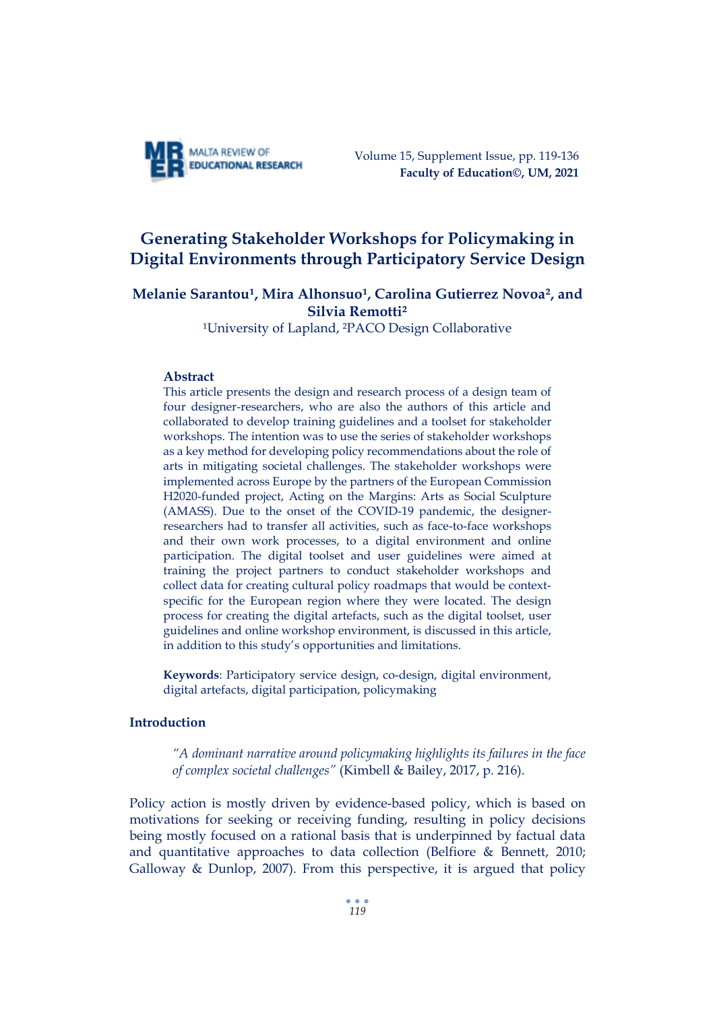

Volume 15, Supplement Issue, pp. 119-136  **Faculty of Education©, UM, 2021**

# **Generating Stakeholder Workshops for Policymaking in Digital Environments through Participatory Service Design**

# **Melanie Sarantou¹, Mira Alhonsuo¹, Carolina Gutierrez Novoa², and Silvia Remotti²**

<sup>1</sup>University of Lapland, <sup>2</sup>PACO Design Collaborative

#### **Abstract**

This article presents the design and research process of a design team of four designer-researchers, who are also the authors of this article and collaborated to develop training guidelines and a toolset for stakeholder workshops. The intention was to use the series of stakeholder workshops as a key method for developing policy recommendations about the role of arts in mitigating societal challenges. The stakeholder workshops were implemented across Europe by the partners of the European Commission H2020-funded project, Acting on the Margins: Arts as Social Sculpture (AMASS). Due to the onset of the COVID-19 pandemic, the designerresearchers had to transfer all activities, such as face-to-face workshops and their own work processes, to a digital environment and online participation. The digital toolset and user guidelines were aimed at training the project partners to conduct stakeholder workshops and collect data for creating cultural policy roadmaps that would be contextspecific for the European region where they were located. The design process for creating the digital artefacts, such as the digital toolset, user guidelines and online workshop environment, is discussed in this article, in addition to this study's opportunities and limitations.

**Keywords**: Participatory service design, co-design, digital environment, digital artefacts, digital participation, policymaking

# **Introduction**

*"A dominant narrative around policymaking highlights its failures in the face of complex societal challenges"* (Kimbell & Bailey, 2017, p. 216).

Policy action is mostly driven by evidence-based policy, which is based on motivations for seeking or receiving funding, resulting in policy decisions being mostly focused on a rational basis that is underpinned by factual data and quantitative approaches to data collection (Belfiore & Bennett, 2010; Galloway & Dunlop, 2007). From this perspective, it is argued that policy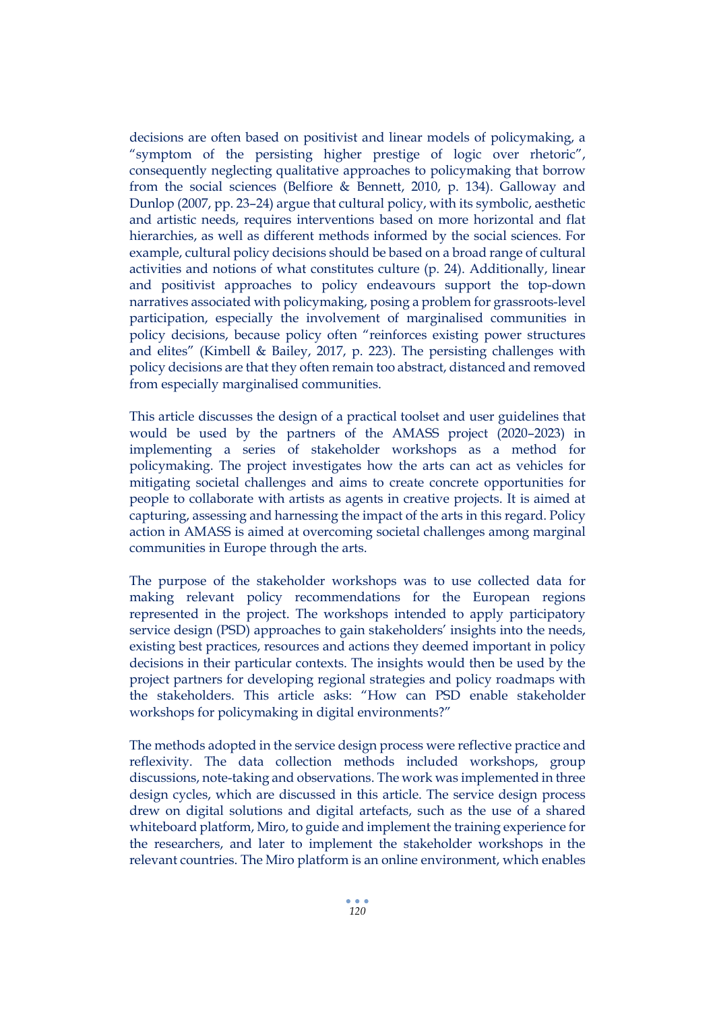decisions are often based on positivist and linear models of policymaking, a "symptom of the persisting higher prestige of logic over rhetoric", consequently neglecting qualitative approaches to policymaking that borrow from the social sciences (Belfiore & Bennett, 2010, p. 134). Galloway and Dunlop (2007, pp. 23–24) argue that cultural policy, with its symbolic, aesthetic and artistic needs, requires interventions based on more horizontal and flat hierarchies, as well as different methods informed by the social sciences. For example, cultural policy decisions should be based on a broad range of cultural activities and notions of what constitutes culture (p. 24). Additionally, linear and positivist approaches to policy endeavours support the top-down narratives associated with policymaking, posing a problem for grassroots-level participation, especially the involvement of marginalised communities in policy decisions, because policy often "reinforces existing power structures and elites" (Kimbell & Bailey, 2017, p. 223). The persisting challenges with policy decisions are that they often remain too abstract, distanced and removed from especially marginalised communities.

This article discusses the design of a practical toolset and user guidelines that would be used by the partners of the AMASS project (2020–2023) in implementing a series of stakeholder workshops as a method for policymaking. The project investigates how the arts can act as vehicles for mitigating societal challenges and aims to create concrete opportunities for people to collaborate with artists as agents in creative projects. It is aimed at capturing, assessing and harnessing the impact of the arts in this regard. Policy action in AMASS is aimed at overcoming societal challenges among marginal communities in Europe through the arts.

The purpose of the stakeholder workshops was to use collected data for making relevant policy recommendations for the European regions represented in the project. The workshops intended to apply participatory service design (PSD) approaches to gain stakeholders' insights into the needs, existing best practices, resources and actions they deemed important in policy decisions in their particular contexts. The insights would then be used by the project partners for developing regional strategies and policy roadmaps with the stakeholders. This article asks: "How can PSD enable stakeholder workshops for policymaking in digital environments?"

The methods adopted in the service design process were reflective practice and reflexivity. The data collection methods included workshops, group discussions, note-taking and observations. The work was implemented in three design cycles, which are discussed in this article. The service design process drew on digital solutions and digital artefacts, such as the use of a shared whiteboard platform, Miro, to guide and implement the training experience for the researchers, and later to implement the stakeholder workshops in the relevant countries. The Miro platform is an online environment, which enables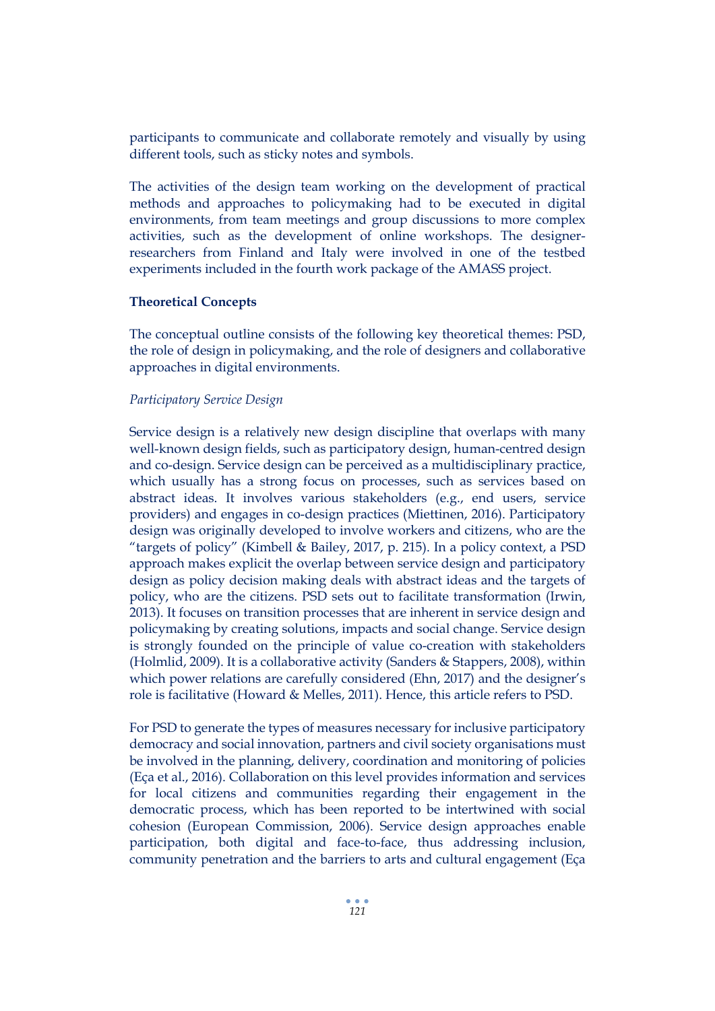participants to communicate and collaborate remotely and visually by using different tools, such as sticky notes and symbols.

The activities of the design team working on the development of practical methods and approaches to policymaking had to be executed in digital environments, from team meetings and group discussions to more complex activities, such as the development of online workshops. The designerresearchers from Finland and Italy were involved in one of the testbed experiments included in the fourth work package of the AMASS project.

#### **Theoretical Concepts**

The conceptual outline consists of the following key theoretical themes: PSD, the role of design in policymaking, and the role of designers and collaborative approaches in digital environments.

#### *Participatory Service Design*

Service design is a relatively new design discipline that overlaps with many well-known design fields, such as participatory design, human-centred design and co-design. Service design can be perceived as a multidisciplinary practice, which usually has a strong focus on processes, such as services based on abstract ideas. It involves various stakeholders (e.g., end users, service providers) and engages in co-design practices (Miettinen, 2016). Participatory design was originally developed to involve workers and citizens, who are the "targets of policy" (Kimbell & Bailey, 2017, p. 215). In a policy context, a PSD approach makes explicit the overlap between service design and participatory design as policy decision making deals with abstract ideas and the targets of policy, who are the citizens. PSD sets out to facilitate transformation (Irwin, 2013). It focuses on transition processes that are inherent in service design and policymaking by creating solutions, impacts and social change. Service design is strongly founded on the principle of value co-creation with stakeholders (Holmlid, 2009). It is a collaborative activity (Sanders & Stappers, 2008), within which power relations are carefully considered (Ehn, 2017) and the designer's role is facilitative (Howard & Melles, 2011). Hence, this article refers to PSD.

For PSD to generate the types of measures necessary for inclusive participatory democracy and social innovation, partners and civil society organisations must be involved in the planning, delivery, coordination and monitoring of policies (Eça et al., 2016). Collaboration on this level provides information and services for local citizens and communities regarding their engagement in the democratic process, which has been reported to be intertwined with social cohesion (European Commission, 2006). Service design approaches enable participation, both digital and face-to-face, thus addressing inclusion, community penetration and the barriers to arts and cultural engagement (Eça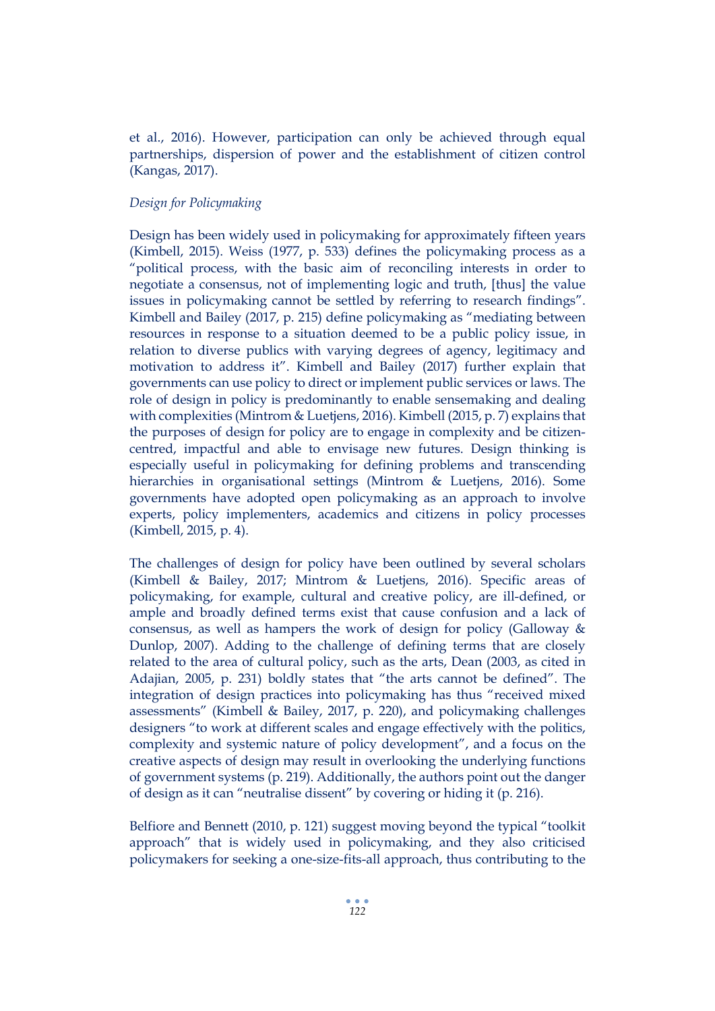et al., 2016). However, participation can only be achieved through equal partnerships, dispersion of power and the establishment of citizen control (Kangas, 2017).

# *Design for Policymaking*

Design has been widely used in policymaking for approximately fifteen years (Kimbell, 2015). Weiss (1977, p. 533) defines the policymaking process as a "political process, with the basic aim of reconciling interests in order to negotiate a consensus, not of implementing logic and truth, [thus] the value issues in policymaking cannot be settled by referring to research findings". Kimbell and Bailey (2017, p. 215) define policymaking as "mediating between resources in response to a situation deemed to be a public policy issue, in relation to diverse publics with varying degrees of agency, legitimacy and motivation to address it". Kimbell and Bailey (2017) further explain that governments can use policy to direct or implement public services or laws. The role of design in policy is predominantly to enable sensemaking and dealing with complexities (Mintrom & Luetjens, 2016). Kimbell (2015, p. 7) explains that the purposes of design for policy are to engage in complexity and be citizencentred, impactful and able to envisage new futures. Design thinking is especially useful in policymaking for defining problems and transcending hierarchies in organisational settings (Mintrom & Luetjens, 2016). Some governments have adopted open policymaking as an approach to involve experts, policy implementers, academics and citizens in policy processes (Kimbell, 2015, p. 4).

The challenges of design for policy have been outlined by several scholars (Kimbell & Bailey, 2017; Mintrom & Luetjens, 2016). Specific areas of policymaking, for example, cultural and creative policy, are ill-defined, or ample and broadly defined terms exist that cause confusion and a lack of consensus, as well as hampers the work of design for policy (Galloway & Dunlop, 2007). Adding to the challenge of defining terms that are closely related to the area of cultural policy, such as the arts, Dean (2003, as cited in Adajian, 2005, p. 231) boldly states that "the arts cannot be defined". The integration of design practices into policymaking has thus "received mixed assessments" (Kimbell & Bailey, 2017, p. 220), and policymaking challenges designers "to work at different scales and engage effectively with the politics, complexity and systemic nature of policy development", and a focus on the creative aspects of design may result in overlooking the underlying functions of government systems (p. 219). Additionally, the authors point out the danger of design as it can "neutralise dissent" by covering or hiding it (p. 216).

Belfiore and Bennett (2010, p. 121) suggest moving beyond the typical "toolkit approach" that is widely used in policymaking, and they also criticised policymakers for seeking a one-size-fits-all approach, thus contributing to the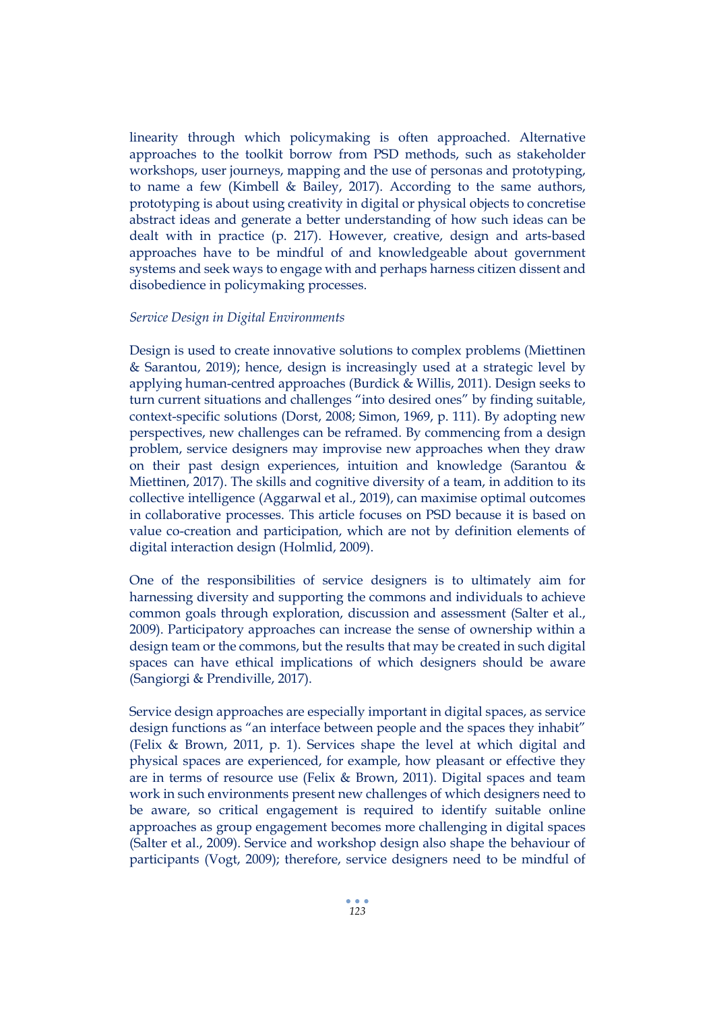linearity through which policymaking is often approached. Alternative approaches to the toolkit borrow from PSD methods, such as stakeholder workshops, user journeys, mapping and the use of personas and prototyping, to name a few (Kimbell & Bailey, 2017). According to the same authors, prototyping is about using creativity in digital or physical objects to concretise abstract ideas and generate a better understanding of how such ideas can be dealt with in practice (p. 217). However, creative, design and arts-based approaches have to be mindful of and knowledgeable about government systems and seek ways to engage with and perhaps harness citizen dissent and disobedience in policymaking processes.

#### *Service Design in Digital Environments*

Design is used to create innovative solutions to complex problems (Miettinen & Sarantou, 2019); hence, design is increasingly used at a strategic level by applying human-centred approaches (Burdick & Willis, 2011). Design seeks to turn current situations and challenges "into desired ones" by finding suitable, context-specific solutions (Dorst, 2008; Simon, 1969, p. 111). By adopting new perspectives, new challenges can be reframed. By commencing from a design problem, service designers may improvise new approaches when they draw on their past design experiences, intuition and knowledge (Sarantou & Miettinen, 2017). The skills and cognitive diversity of a team, in addition to its collective intelligence (Aggarwal et al., 2019), can maximise optimal outcomes in collaborative processes. This article focuses on PSD because it is based on value co-creation and participation, which are not by definition elements of digital interaction design (Holmlid, 2009).

One of the responsibilities of service designers is to ultimately aim for harnessing diversity and supporting the commons and individuals to achieve common goals through exploration, discussion and assessment (Salter et al., 2009). Participatory approaches can increase the sense of ownership within a design team or the commons, but the results that may be created in such digital spaces can have ethical implications of which designers should be aware (Sangiorgi & Prendiville, 2017).

Service design approaches are especially important in digital spaces, as service design functions as "an interface between people and the spaces they inhabit" (Felix & Brown, 2011, p. 1). Services shape the level at which digital and physical spaces are experienced, for example, how pleasant or effective they are in terms of resource use (Felix & Brown, 2011). Digital spaces and team work in such environments present new challenges of which designers need to be aware, so critical engagement is required to identify suitable online approaches as group engagement becomes more challenging in digital spaces (Salter et al., 2009). Service and workshop design also shape the behaviour of participants (Vogt, 2009); therefore, service designers need to be mindful of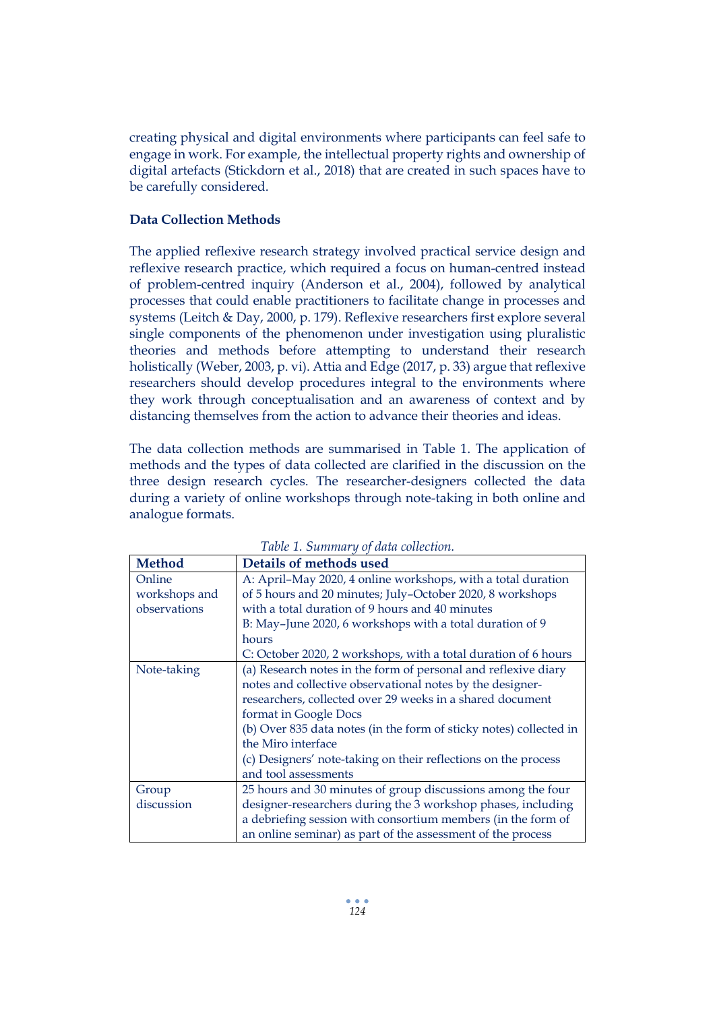creating physical and digital environments where participants can feel safe to engage in work. For example, the intellectual property rights and ownership of digital artefacts (Stickdorn et al., 2018) that are created in such spaces have to be carefully considered.

# **Data Collection Methods**

The applied reflexive research strategy involved practical service design and reflexive research practice, which required a focus on human-centred instead of problem-centred inquiry (Anderson et al., 2004), followed by analytical processes that could enable practitioners to facilitate change in processes and systems (Leitch & Day, 2000, p. 179). Reflexive researchers first explore several single components of the phenomenon under investigation using pluralistic theories and methods before attempting to understand their research holistically (Weber, 2003, p. vi). Attia and Edge (2017, p. 33) argue that reflexive researchers should develop procedures integral to the environments where they work through conceptualisation and an awareness of context and by distancing themselves from the action to advance their theories and ideas.

The data collection methods are summarised in Table 1. The application of methods and the types of data collected are clarified in the discussion on the three design research cycles. The researcher-designers collected the data during a variety of online workshops through note-taking in both online and analogue formats.

| <b>Method</b> | Details of methods used                                            |
|---------------|--------------------------------------------------------------------|
| Online        | A: April-May 2020, 4 online workshops, with a total duration       |
| workshops and | of 5 hours and 20 minutes; July-October 2020, 8 workshops          |
| observations  | with a total duration of 9 hours and 40 minutes                    |
|               | B: May-June 2020, 6 workshops with a total duration of 9           |
|               | hours                                                              |
|               | C: October 2020, 2 workshops, with a total duration of 6 hours     |
| Note-taking   | (a) Research notes in the form of personal and reflexive diary     |
|               | notes and collective observational notes by the designer-          |
|               | researchers, collected over 29 weeks in a shared document          |
|               | format in Google Docs                                              |
|               | (b) Over 835 data notes (in the form of sticky notes) collected in |
|               | the Miro interface                                                 |
|               | (c) Designers' note-taking on their reflections on the process     |
|               | and tool assessments                                               |
| Group         | 25 hours and 30 minutes of group discussions among the four        |
| discussion    | designer-researchers during the 3 workshop phases, including       |
|               | a debriefing session with consortium members (in the form of       |
|               | an online seminar) as part of the assessment of the process        |

*Table 1. Summary of data collection.*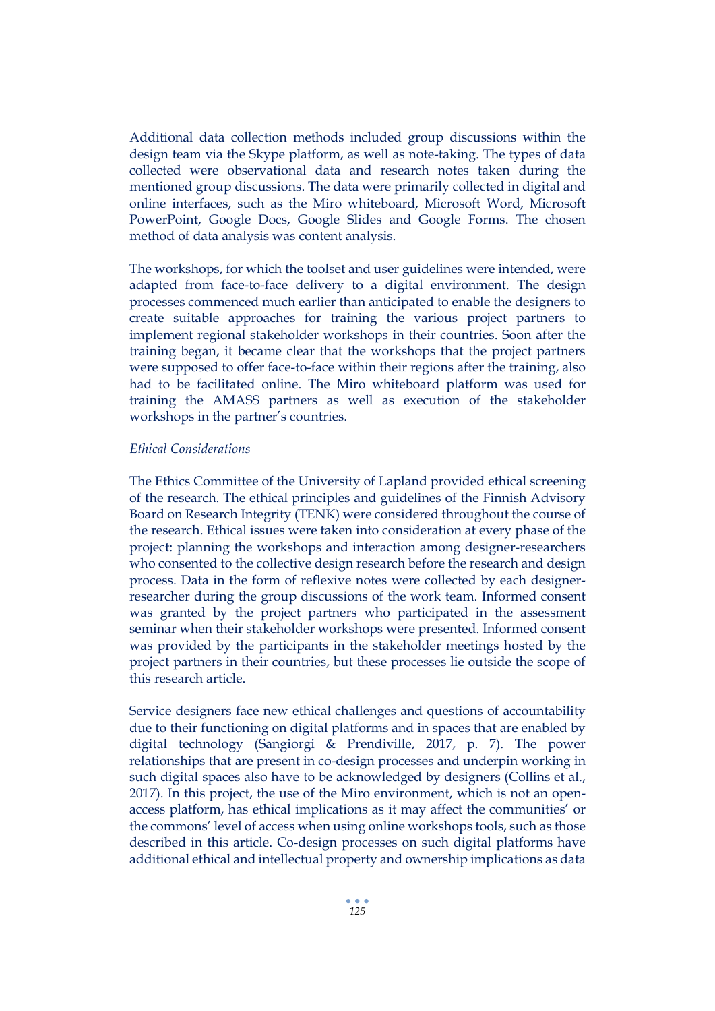Additional data collection methods included group discussions within the design team via the Skype platform, as well as note-taking. The types of data collected were observational data and research notes taken during the mentioned group discussions. The data were primarily collected in digital and online interfaces, such as the Miro whiteboard, Microsoft Word, Microsoft PowerPoint, Google Docs, Google Slides and Google Forms. The chosen method of data analysis was content analysis.

The workshops, for which the toolset and user guidelines were intended, were adapted from face-to-face delivery to a digital environment. The design processes commenced much earlier than anticipated to enable the designers to create suitable approaches for training the various project partners to implement regional stakeholder workshops in their countries. Soon after the training began, it became clear that the workshops that the project partners were supposed to offer face-to-face within their regions after the training, also had to be facilitated online. The Miro whiteboard platform was used for training the AMASS partners as well as execution of the stakeholder workshops in the partner's countries.

#### *Ethical Considerations*

The Ethics Committee of the University of Lapland provided ethical screening of the research. The ethical principles and guidelines of the Finnish Advisory Board on Research Integrity (TENK) were considered throughout the course of the research. Ethical issues were taken into consideration at every phase of the project: planning the workshops and interaction among designer-researchers who consented to the collective design research before the research and design process. Data in the form of reflexive notes were collected by each designerresearcher during the group discussions of the work team. Informed consent was granted by the project partners who participated in the assessment seminar when their stakeholder workshops were presented. Informed consent was provided by the participants in the stakeholder meetings hosted by the project partners in their countries, but these processes lie outside the scope of this research article.

Service designers face new ethical challenges and questions of accountability due to their functioning on digital platforms and in spaces that are enabled by digital technology (Sangiorgi & Prendiville, 2017, p. 7). The power relationships that are present in co-design processes and underpin working in such digital spaces also have to be acknowledged by designers (Collins et al., 2017). In this project, the use of the Miro environment, which is not an openaccess platform, has ethical implications as it may affect the communities' or the commons' level of access when using online workshops tools, such as those described in this article. Co-design processes on such digital platforms have additional ethical and intellectual property and ownership implications as data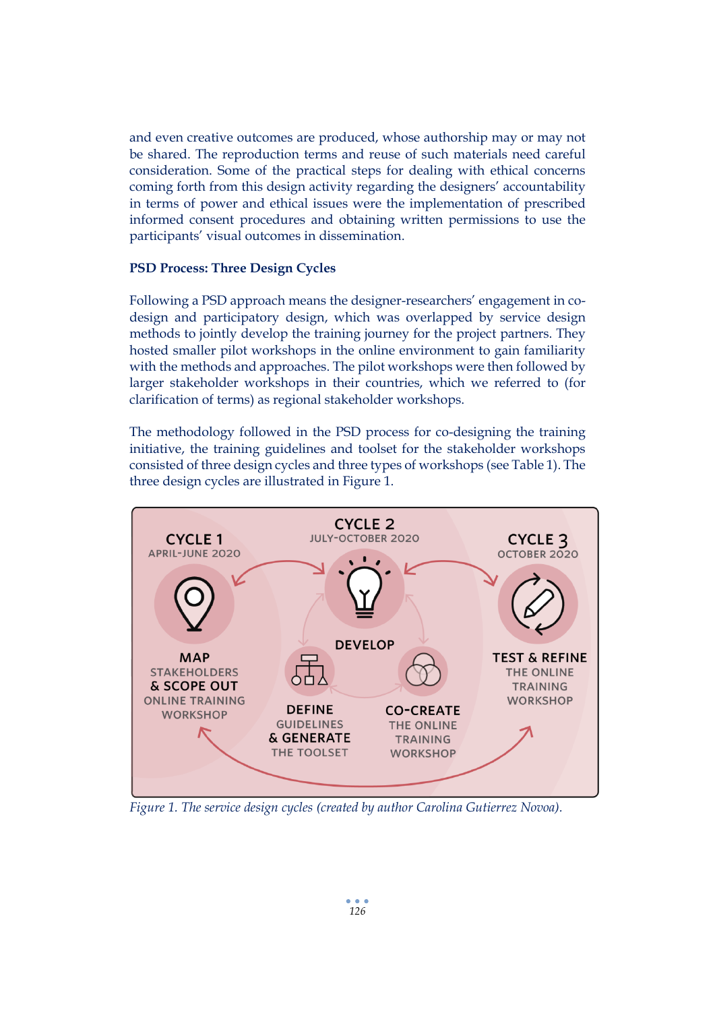and even creative outcomes are produced, whose authorship may or may not be shared. The reproduction terms and reuse of such materials need careful consideration. Some of the practical steps for dealing with ethical concerns coming forth from this design activity regarding the designers' accountability in terms of power and ethical issues were the implementation of prescribed informed consent procedures and obtaining written permissions to use the participants' visual outcomes in dissemination.

#### **PSD Process: Three Design Cycles**

Following a PSD approach means the designer-researchers' engagement in codesign and participatory design, which was overlapped by service design methods to jointly develop the training journey for the project partners. They hosted smaller pilot workshops in the online environment to gain familiarity with the methods and approaches. The pilot workshops were then followed by larger stakeholder workshops in their countries, which we referred to (for clarification of terms) as regional stakeholder workshops.

The methodology followed in the PSD process for co-designing the training initiative, the training guidelines and toolset for the stakeholder workshops consisted of three design cycles and three types of workshops (see Table 1). The three design cycles are illustrated in Figure 1.



*Figure 1. The service design cycles (created by author Carolina Gutierrez Novoa).*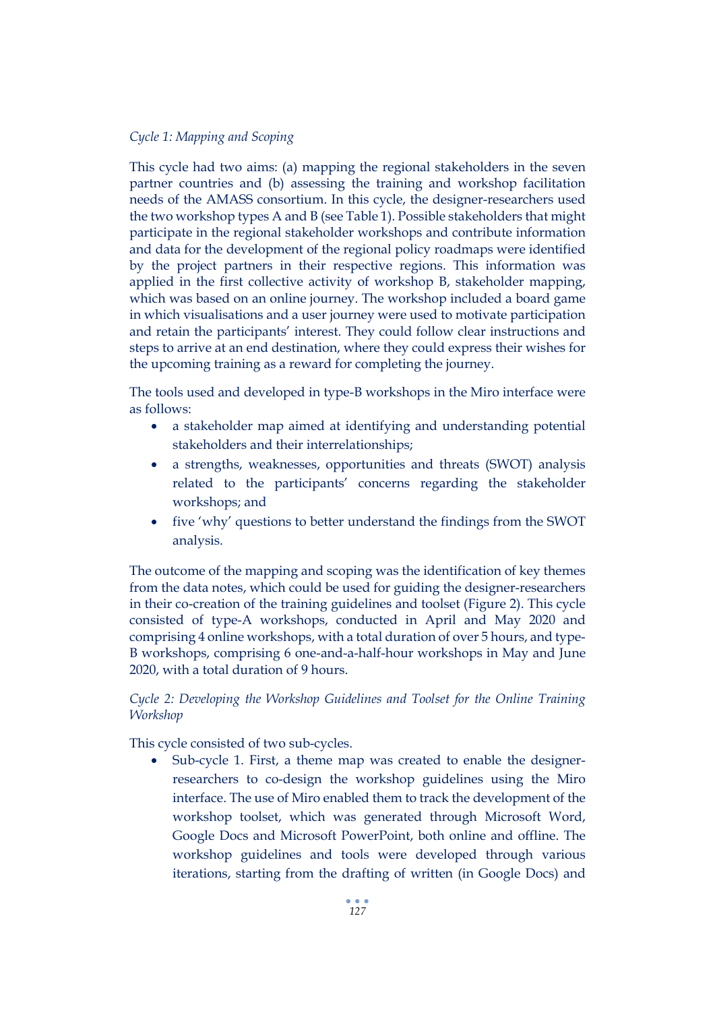# *Cycle 1: Mapping and Scoping*

This cycle had two aims: (a) mapping the regional stakeholders in the seven partner countries and (b) assessing the training and workshop facilitation needs of the AMASS consortium. In this cycle, the designer-researchers used the two workshop types A and B (see Table 1). Possible stakeholders that might participate in the regional stakeholder workshops and contribute information and data for the development of the regional policy roadmaps were identified by the project partners in their respective regions. This information was applied in the first collective activity of workshop B, stakeholder mapping, which was based on an online journey. The workshop included a board game in which visualisations and a user journey were used to motivate participation and retain the participants' interest. They could follow clear instructions and steps to arrive at an end destination, where they could express their wishes for the upcoming training as a reward for completing the journey.

The tools used and developed in type-B workshops in the Miro interface were as follows:

- a stakeholder map aimed at identifying and understanding potential stakeholders and their interrelationships;
- a strengths, weaknesses, opportunities and threats (SWOT) analysis related to the participants' concerns regarding the stakeholder workshops; and
- five 'why' questions to better understand the findings from the SWOT analysis.

The outcome of the mapping and scoping was the identification of key themes from the data notes, which could be used for guiding the designer-researchers in their co-creation of the training guidelines and toolset (Figure 2). This cycle consisted of type-A workshops, conducted in April and May 2020 and comprising 4 online workshops, with a total duration of over 5 hours, and type-B workshops, comprising 6 one-and-a-half-hour workshops in May and June 2020, with a total duration of 9 hours.

# *Cycle 2: Developing the Workshop Guidelines and Toolset for the Online Training Workshop*

This cycle consisted of two sub-cycles.

• Sub-cycle 1. First, a theme map was created to enable the designerresearchers to co-design the workshop guidelines using the Miro interface. The use of Miro enabled them to track the development of the workshop toolset, which was generated through Microsoft Word, Google Docs and Microsoft PowerPoint, both online and offline. The workshop guidelines and tools were developed through various iterations, starting from the drafting of written (in Google Docs) and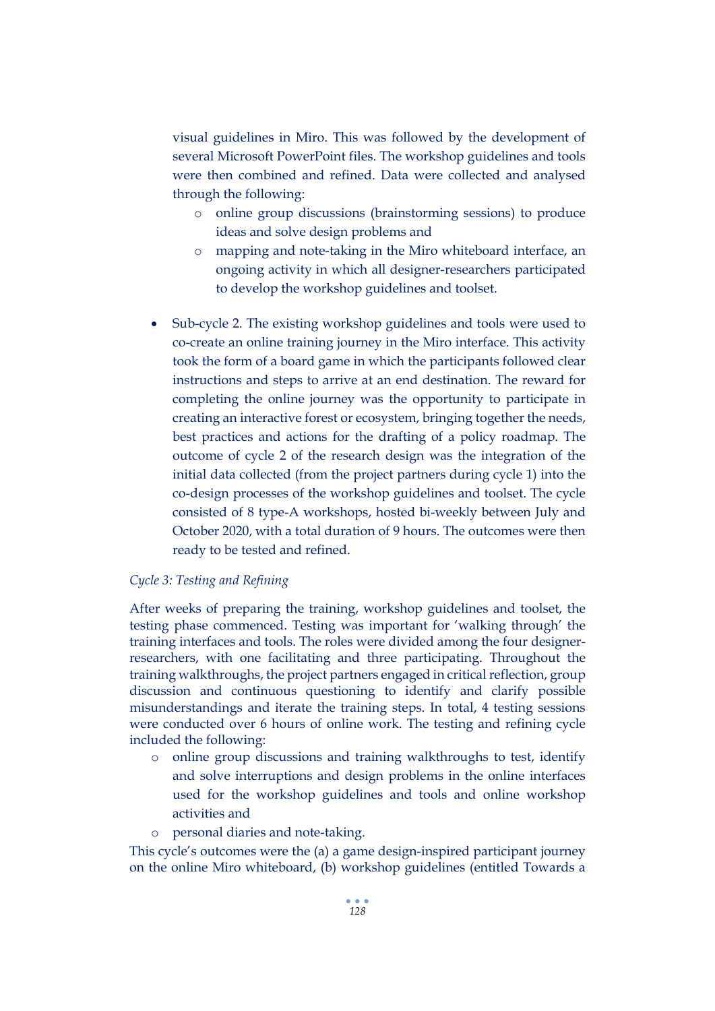visual guidelines in Miro. This was followed by the development of several Microsoft PowerPoint files. The workshop guidelines and tools were then combined and refined. Data were collected and analysed through the following:

- o online group discussions (brainstorming sessions) to produce ideas and solve design problems and
- o mapping and note-taking in the Miro whiteboard interface, an ongoing activity in which all designer-researchers participated to develop the workshop guidelines and toolset.
- Sub-cycle 2. The existing workshop guidelines and tools were used to co-create an online training journey in the Miro interface. This activity took the form of a board game in which the participants followed clear instructions and steps to arrive at an end destination. The reward for completing the online journey was the opportunity to participate in creating an interactive forest or ecosystem, bringing together the needs, best practices and actions for the drafting of a policy roadmap. The outcome of cycle 2 of the research design was the integration of the initial data collected (from the project partners during cycle 1) into the co-design processes of the workshop guidelines and toolset. The cycle consisted of 8 type-A workshops, hosted bi-weekly between July and October 2020, with a total duration of 9 hours. The outcomes were then ready to be tested and refined.

# *Cycle 3: Testing and Refining*

After weeks of preparing the training, workshop guidelines and toolset, the testing phase commenced. Testing was important for 'walking through' the training interfaces and tools. The roles were divided among the four designerresearchers, with one facilitating and three participating. Throughout the training walkthroughs, the project partners engaged in critical reflection, group discussion and continuous questioning to identify and clarify possible misunderstandings and iterate the training steps. In total, 4 testing sessions were conducted over 6 hours of online work. The testing and refining cycle included the following:

- o online group discussions and training walkthroughs to test, identify and solve interruptions and design problems in the online interfaces used for the workshop guidelines and tools and online workshop activities and
- o personal diaries and note-taking.

This cycle's outcomes were the (a) a game design-inspired participant journey on the online Miro whiteboard, (b) workshop guidelines (entitled Towards a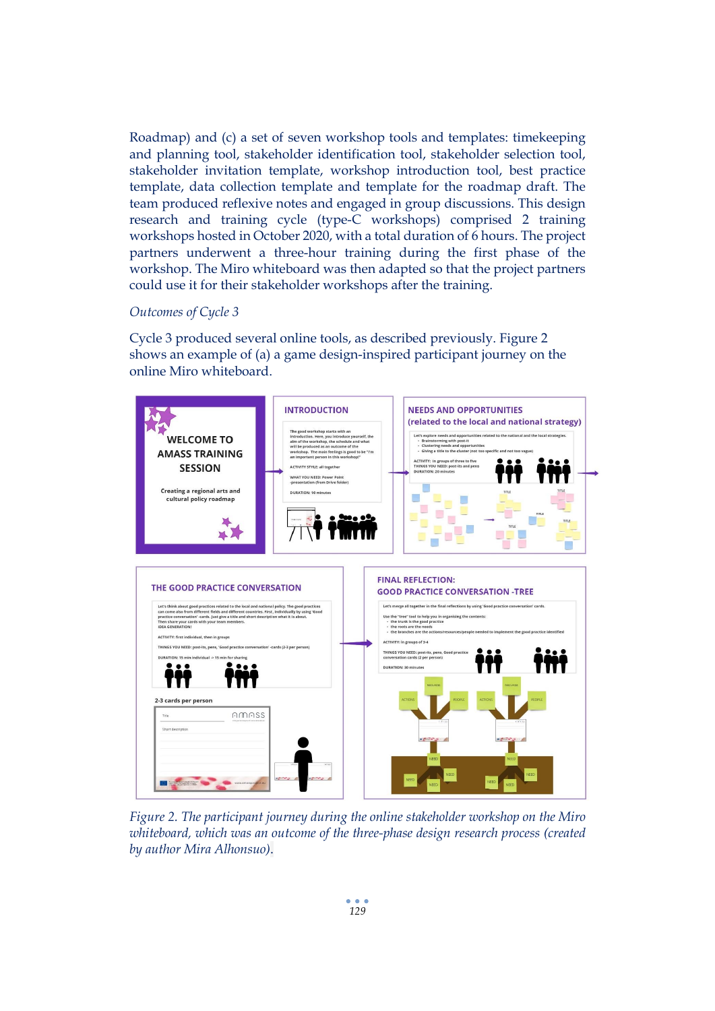Roadmap) and (c) a set of seven workshop tools and templates: timekeeping and planning tool, stakeholder identification tool, stakeholder selection tool, stakeholder invitation template, workshop introduction tool, best practice template, data collection template and template for the roadmap draft. The team produced reflexive notes and engaged in group discussions. This design research and training cycle (type-C workshops) comprised 2 training workshops hosted in October 2020, with a total duration of 6 hours. The project partners underwent a three-hour training during the first phase of the workshop. The Miro whiteboard was then adapted so that the project partners could use it for their stakeholder workshops after the training.

#### *Outcomes of Cycle 3*

Cycle 3 produced several online tools, as described previously. Figure 2 shows an example of (a) a game design-inspired participant journey on the online Miro whiteboard.



*Figure 2. The participant journey during the online stakeholder workshop on the Miro whiteboard, which was an outcome of the three-phase design research process (created by author Mira Alhonsuo)*.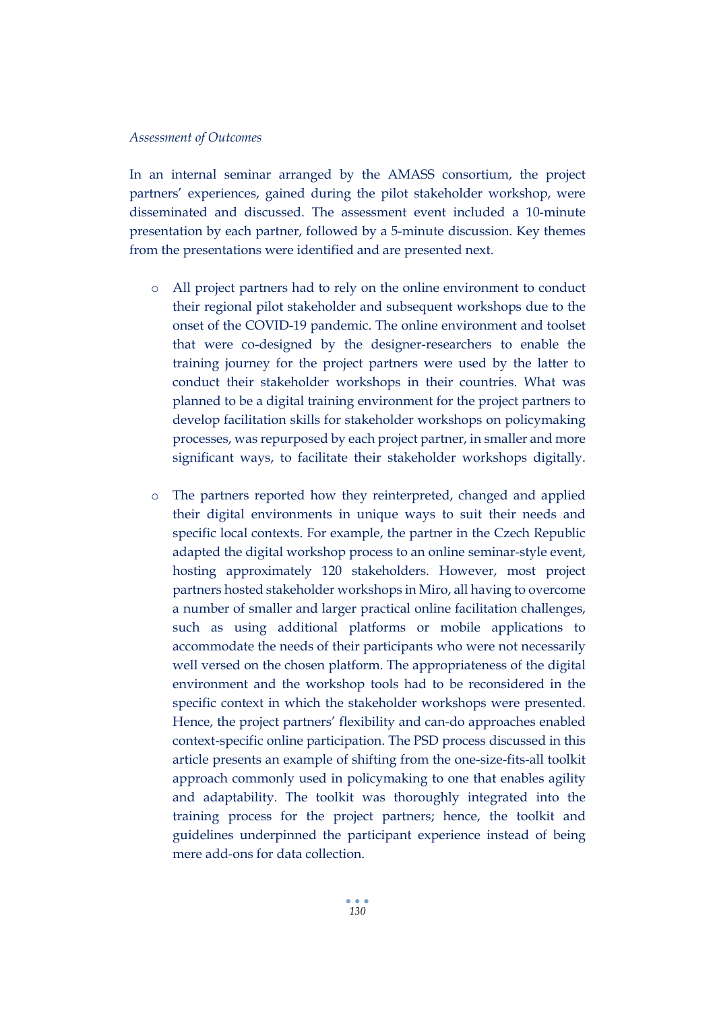#### *Assessment of Outcomes*

In an internal seminar arranged by the AMASS consortium, the project partners' experiences, gained during the pilot stakeholder workshop, were disseminated and discussed. The assessment event included a 10-minute presentation by each partner, followed by a 5-minute discussion. Key themes from the presentations were identified and are presented next.

- o All project partners had to rely on the online environment to conduct their regional pilot stakeholder and subsequent workshops due to the onset of the COVID-19 pandemic. The online environment and toolset that were co-designed by the designer-researchers to enable the training journey for the project partners were used by the latter to conduct their stakeholder workshops in their countries. What was planned to be a digital training environment for the project partners to develop facilitation skills for stakeholder workshops on policymaking processes, was repurposed by each project partner, in smaller and more significant ways, to facilitate their stakeholder workshops digitally.
- o The partners reported how they reinterpreted, changed and applied their digital environments in unique ways to suit their needs and specific local contexts. For example, the partner in the Czech Republic adapted the digital workshop process to an online seminar-style event, hosting approximately 120 stakeholders. However, most project partners hosted stakeholder workshops in Miro, all having to overcome a number of smaller and larger practical online facilitation challenges, such as using additional platforms or mobile applications to accommodate the needs of their participants who were not necessarily well versed on the chosen platform. The appropriateness of the digital environment and the workshop tools had to be reconsidered in the specific context in which the stakeholder workshops were presented. Hence, the project partners' flexibility and can-do approaches enabled context-specific online participation. The PSD process discussed in this article presents an example of shifting from the one-size-fits-all toolkit approach commonly used in policymaking to one that enables agility and adaptability. The toolkit was thoroughly integrated into the training process for the project partners; hence, the toolkit and guidelines underpinned the participant experience instead of being mere add-ons for data collection.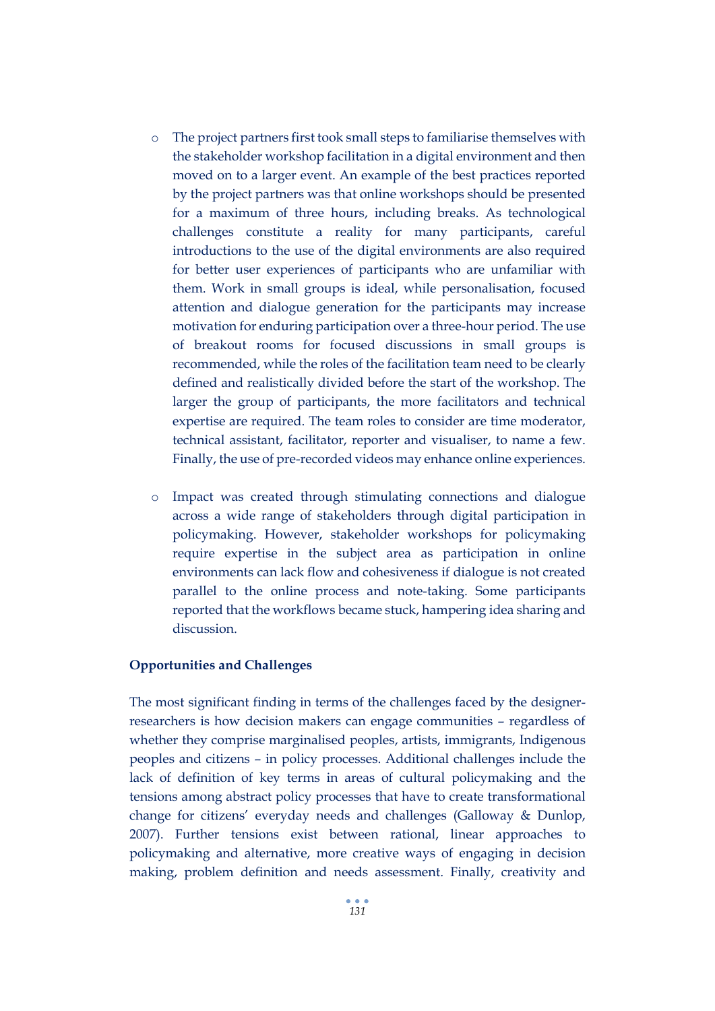- o The project partners first took small steps to familiarise themselves with the stakeholder workshop facilitation in a digital environment and then moved on to a larger event. An example of the best practices reported by the project partners was that online workshops should be presented for a maximum of three hours, including breaks. As technological challenges constitute a reality for many participants, careful introductions to the use of the digital environments are also required for better user experiences of participants who are unfamiliar with them. Work in small groups is ideal, while personalisation, focused attention and dialogue generation for the participants may increase motivation for enduring participation over a three-hour period. The use of breakout rooms for focused discussions in small groups is recommended, while the roles of the facilitation team need to be clearly defined and realistically divided before the start of the workshop. The larger the group of participants, the more facilitators and technical expertise are required. The team roles to consider are time moderator, technical assistant, facilitator, reporter and visualiser, to name a few. Finally, the use of pre-recorded videos may enhance online experiences.
- o Impact was created through stimulating connections and dialogue across a wide range of stakeholders through digital participation in policymaking. However, stakeholder workshops for policymaking require expertise in the subject area as participation in online environments can lack flow and cohesiveness if dialogue is not created parallel to the online process and note-taking. Some participants reported that the workflows became stuck, hampering idea sharing and discussion.

#### **Opportunities and Challenges**

The most significant finding in terms of the challenges faced by the designerresearchers is how decision makers can engage communities – regardless of whether they comprise marginalised peoples, artists, immigrants, Indigenous peoples and citizens – in policy processes. Additional challenges include the lack of definition of key terms in areas of cultural policymaking and the tensions among abstract policy processes that have to create transformational change for citizens' everyday needs and challenges (Galloway & Dunlop, 2007). Further tensions exist between rational, linear approaches to policymaking and alternative, more creative ways of engaging in decision making, problem definition and needs assessment. Finally, creativity and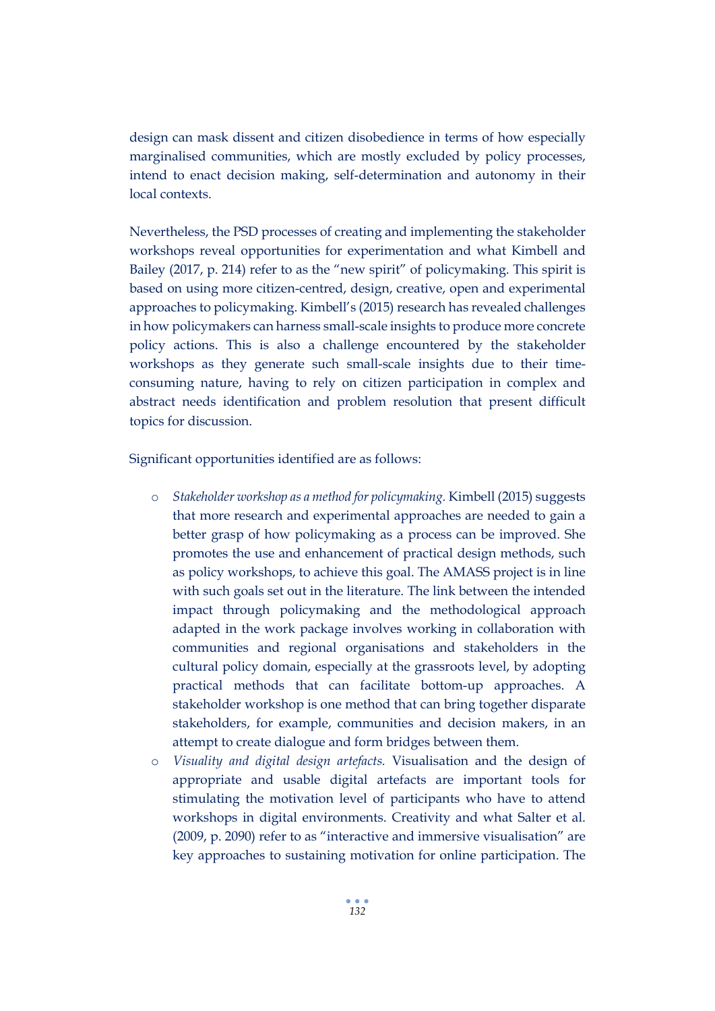design can mask dissent and citizen disobedience in terms of how especially marginalised communities, which are mostly excluded by policy processes, intend to enact decision making, self-determination and autonomy in their local contexts.

Nevertheless, the PSD processes of creating and implementing the stakeholder workshops reveal opportunities for experimentation and what Kimbell and Bailey (2017, p. 214) refer to as the "new spirit" of policymaking. This spirit is based on using more citizen-centred, design, creative, open and experimental approaches to policymaking. Kimbell's (2015) research has revealed challenges in how policymakers can harness small-scale insights to produce more concrete policy actions. This is also a challenge encountered by the stakeholder workshops as they generate such small-scale insights due to their timeconsuming nature, having to rely on citizen participation in complex and abstract needs identification and problem resolution that present difficult topics for discussion.

Significant opportunities identified are as follows:

- o *Stakeholder workshop as a method for policymaking.* Kimbell (2015) suggests that more research and experimental approaches are needed to gain a better grasp of how policymaking as a process can be improved. She promotes the use and enhancement of practical design methods, such as policy workshops, to achieve this goal. The AMASS project is in line with such goals set out in the literature. The link between the intended impact through policymaking and the methodological approach adapted in the work package involves working in collaboration with communities and regional organisations and stakeholders in the cultural policy domain, especially at the grassroots level, by adopting practical methods that can facilitate bottom-up approaches. A stakeholder workshop is one method that can bring together disparate stakeholders, for example, communities and decision makers, in an attempt to create dialogue and form bridges between them.
- o *Visuality and digital design artefacts.* Visualisation and the design of appropriate and usable digital artefacts are important tools for stimulating the motivation level of participants who have to attend workshops in digital environments. Creativity and what Salter et al. (2009, p. 2090) refer to as "interactive and immersive visualisation" are key approaches to sustaining motivation for online participation. The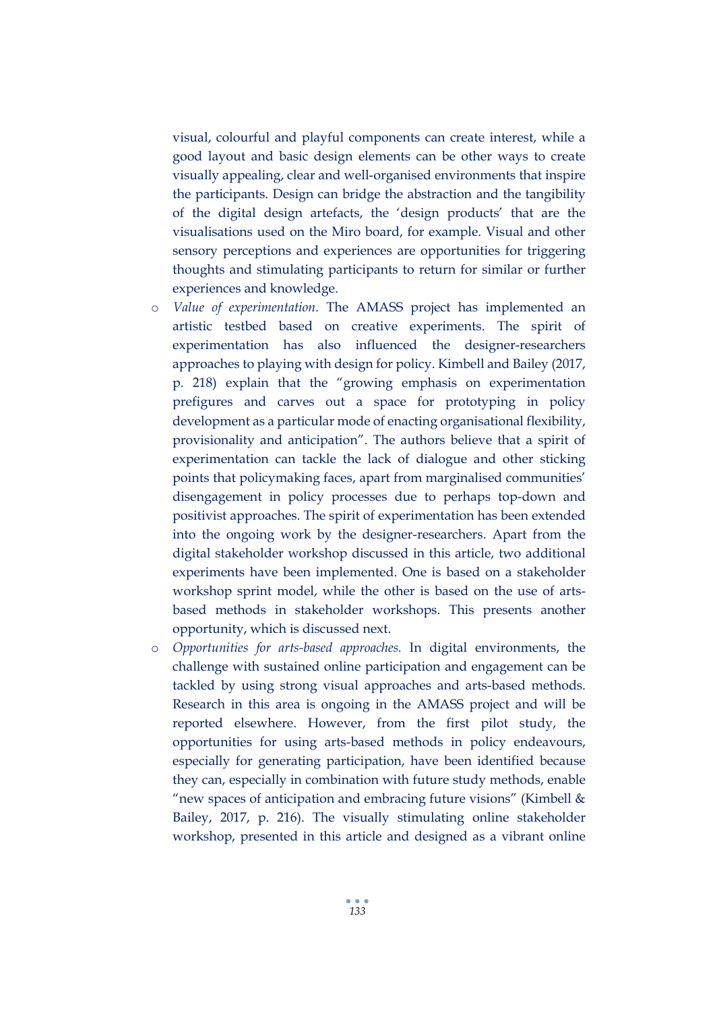visual, colourful and playful components can create interest, while a good layout and basic design elements can be other ways to create visually appealing, clear and well-organised environments that inspire the participants. Design can bridge the abstraction and the tangibility of the digital design artefacts, the 'design products' that are the visualisations used on the Miro board, for example. Visual and other sensory perceptions and experiences are opportunities for triggering thoughts and stimulating participants to return for similar or further experiences and knowledge.

- o *Value of experimentation.* The AMASS project has implemented an artistic testbed based on creative experiments. The spirit of experimentation has also influenced the designer-researchers approaches to playing with design for policy. Kimbell and Bailey (2017, p. 218) explain that the "growing emphasis on experimentation prefigures and carves out a space for prototyping in policy development as a particular mode of enacting organisational flexibility, provisionality and anticipation". The authors believe that a spirit of experimentation can tackle the lack of dialogue and other sticking points that policymaking faces, apart from marginalised communities' disengagement in policy processes due to perhaps top-down and positivist approaches. The spirit of experimentation has been extended into the ongoing work by the designer-researchers. Apart from the digital stakeholder workshop discussed in this article, two additional experiments have been implemented. One is based on a stakeholder workshop sprint model, while the other is based on the use of artsbased methods in stakeholder workshops. This presents another opportunity, which is discussed next.
- o *Opportunities for arts-based approaches.* In digital environments, the challenge with sustained online participation and engagement can be tackled by using strong visual approaches and arts-based methods. Research in this area is ongoing in the AMASS project and will be reported elsewhere. However, from the first pilot study, the opportunities for using arts-based methods in policy endeavours, especially for generating participation, have been identified because they can, especially in combination with future study methods, enable "new spaces of anticipation and embracing future visions" (Kimbell  $\&$ Bailey, 2017, p. 216). The visually stimulating online stakeholder workshop, presented in this article and designed as a vibrant online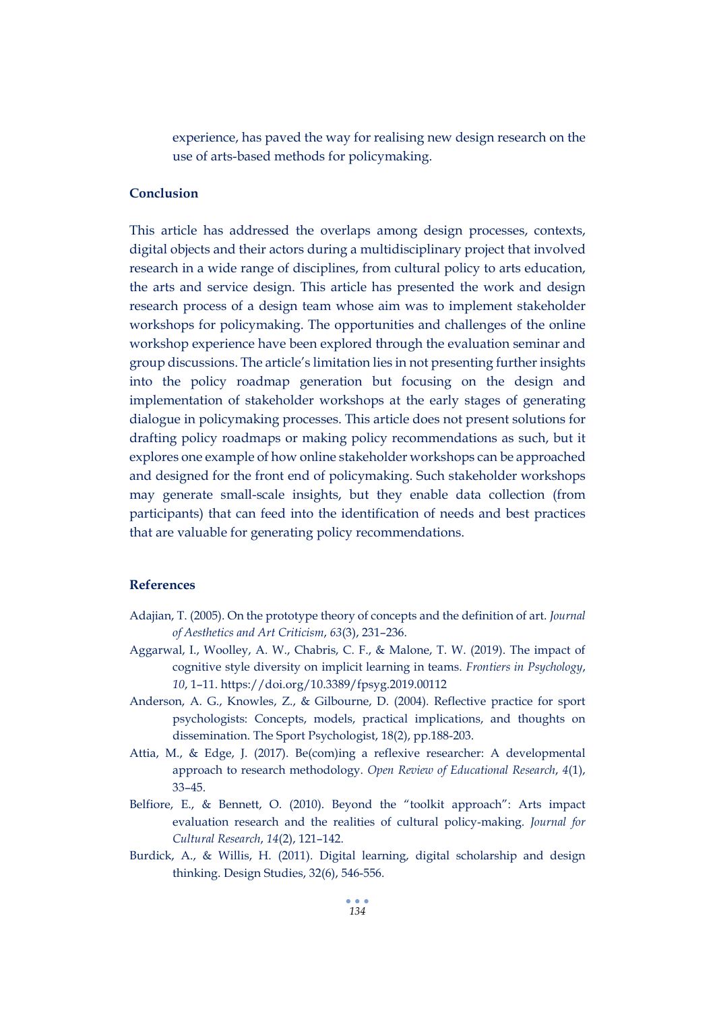experience, has paved the way for realising new design research on the use of arts-based methods for policymaking.

# **Conclusion**

This article has addressed the overlaps among design processes, contexts, digital objects and their actors during a multidisciplinary project that involved research in a wide range of disciplines, from cultural policy to arts education, the arts and service design. This article has presented the work and design research process of a design team whose aim was to implement stakeholder workshops for policymaking. The opportunities and challenges of the online workshop experience have been explored through the evaluation seminar and group discussions. The article's limitation lies in not presenting further insights into the policy roadmap generation but focusing on the design and implementation of stakeholder workshops at the early stages of generating dialogue in policymaking processes. This article does not present solutions for drafting policy roadmaps or making policy recommendations as such, but it explores one example of how online stakeholder workshops can be approached and designed for the front end of policymaking. Such stakeholder workshops may generate small-scale insights, but they enable data collection (from participants) that can feed into the identification of needs and best practices that are valuable for generating policy recommendations.

#### **References**

- Adajian, T. (2005). On the prototype theory of concepts and the definition of art. *Journal of Aesthetics and Art Criticism*, *63*(3), 231–236.
- Aggarwal, I., Woolley, A. W., Chabris, C. F., & Malone, T. W. (2019). The impact of cognitive style diversity on implicit learning in teams. *Frontiers in Psychology*, *10*, 1–11. https://doi.org/10.3389/fpsyg.2019.00112
- Anderson, A. G., Knowles, Z., & Gilbourne, D. (2004). Reflective practice for sport psychologists: Concepts, models, practical implications, and thoughts on dissemination. The Sport Psychologist, 18(2), pp.188-203.
- Attia, M., & Edge, J. (2017). Be(com)ing a reflexive researcher: A developmental approach to research methodology. *Open Review of Educational Research*, *4*(1), 33–45.
- Belfiore, E., & Bennett, O. (2010). Beyond the "toolkit approach": Arts impact evaluation research and the realities of cultural policy‐making. *Journal for Cultural Research*, *14*(2), 121–142.
- Burdick, A., & Willis, H. (2011). Digital learning, digital scholarship and design thinking. Design Studies, 32(6), 546-556.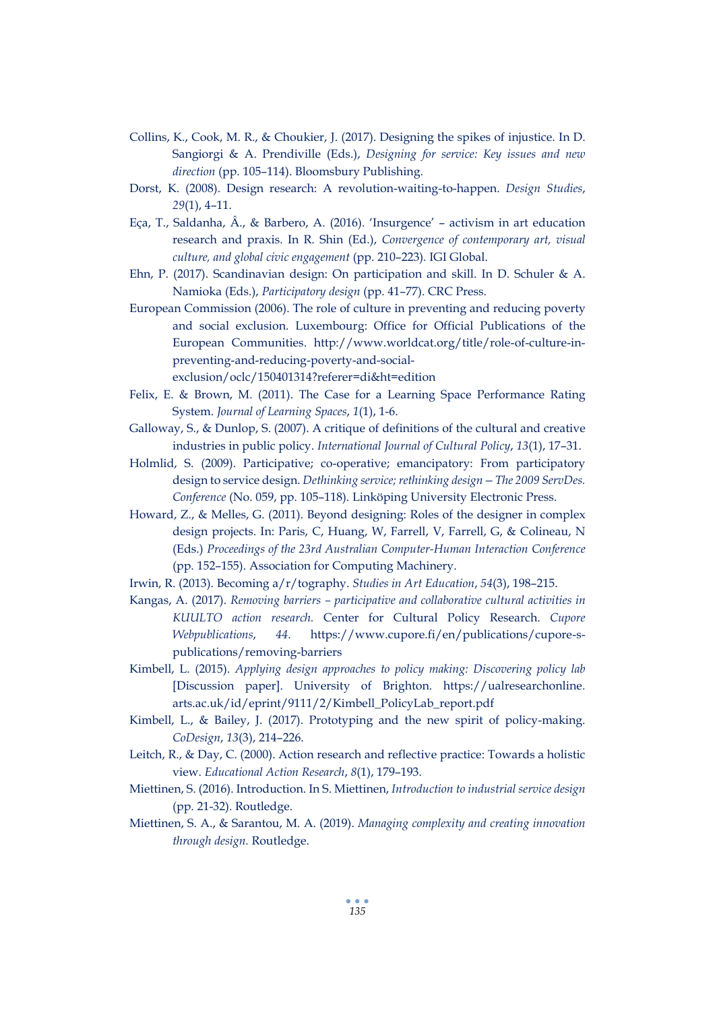- Collins, K., Cook, M. R., & Choukier, J. (2017). Designing the spikes of injustice. In D. Sangiorgi & A. Prendiville (Eds.), *Designing for service: Key issues and new direction* (pp. 105–114). Bloomsbury Publishing.
- Dorst, K. (2008). Design research: A revolution-waiting-to-happen. *Design Studies*, *29*(1), 4–11.
- Eça, T., Saldanha, Â., & Barbero, A. (2016). 'Insurgence' activism in art education research and praxis. In R. Shin (Ed.), *Convergence of contemporary art, visual culture, and global civic engagement* (pp. 210–223)*.* IGI Global.
- Ehn, P. (2017). Scandinavian design: On participation and skill. In D. Schuler & A. Namioka (Eds.), *Participatory design* (pp. 41–77). CRC Press.
- European Commission (2006). The role of culture in preventing and reducing poverty and social exclusion. Luxembourg: Office for Official Publications of the European Communities. http://www.worldcat.org/title/role-of-culture-inpreventing-and-reducing-poverty-and-socialexclusion/oclc/150401314?referer=di&ht=edition
- Felix, E. & Brown, M. (2011). The Case for a Learning Space Performance Rating System. *Journal of Learning Spaces*, *1*(1), 1-6.
- Galloway, S., & Dunlop, S. (2007). A critique of definitions of the cultural and creative industries in public policy. *International Journal of Cultural Policy*, *13*(1), 17–31.
- Holmlid, S. (2009). Participative; co-operative; emancipatory: From participatory design to service design. *Dethinking service; rethinking design—The 2009 ServDes. Conference* (No. 059, pp. 105–118). Linköping University Electronic Press.
- Howard, Z., & Melles, G. (2011). Beyond designing: Roles of the designer in complex design projects. In: Paris, C, Huang, W, Farrell, V, Farrell, G, & Colineau, N (Eds.) *Proceedings of the 23rd Australian Computer-Human Interaction Conference* (pp. 152–155). Association for Computing Machinery.
- Irwin, R. (2013). Becoming a/r/tography. *Studies in Art Education*, *54*(3), 198–215.
- Kangas, A. (2017). *Removing barriers – participative and collaborative cultural activities in KUULTO action research.* Center for Cultural Policy Research. *Cupore Webpublications*, *44*. https://www.cupore.fi/en/publications/cupore-spublications/removing-barriers
- Kimbell, L. (2015). *Applying design approaches to policy making: Discovering policy lab* [Discussion paper]. University of Brighton. https://ualresearchonline. arts.ac.uk/id/eprint/9111/2/Kimbell\_PolicyLab\_report.pdf
- Kimbell, L., & Bailey, J. (2017). Prototyping and the new spirit of policy-making. *CoDesign*, *13*(3), 214–226.
- Leitch, R., & Day, C. (2000). Action research and reflective practice: Towards a holistic view. *Educational Action Research*, *8*(1), 179–193.
- Miettinen, S. (2016). Introduction. In S. Miettinen, *Introduction to industrial service design* (pp. 21-32). Routledge.
- Miettinen, S. A., & Sarantou, M. A. (2019). *Managing complexity and creating innovation through design.* Routledge.